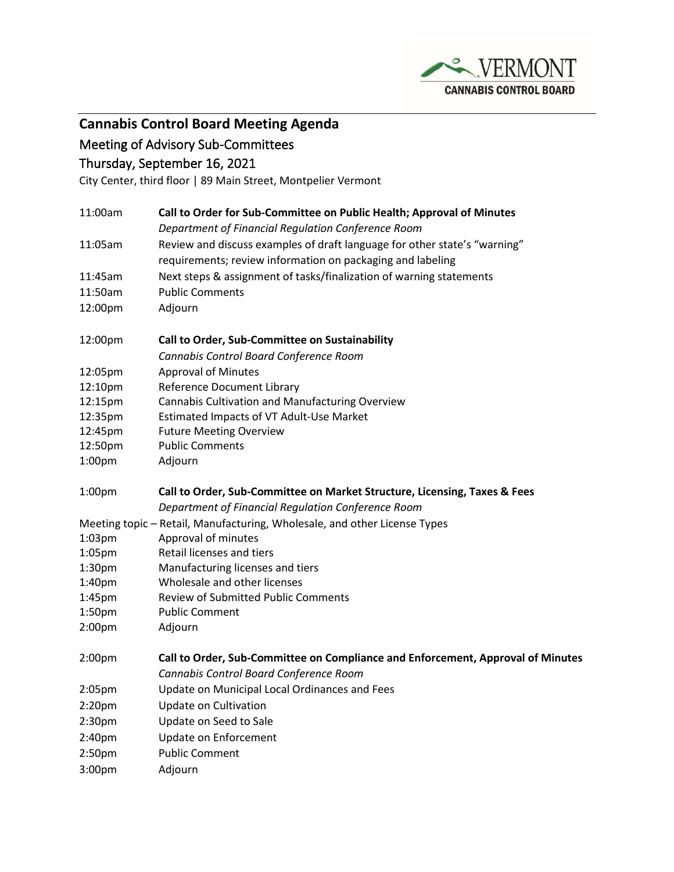

# **Cannabis Control Board Meeting Agenda**

## Meeting of Advisory Sub-Committees

### Thursday, September 16, 2021

City Center, third floor | 89 Main Street, Montpelier Vermont

| 11:00am                                                                   | Call to Order for Sub-Committee on Public Health; Approval of Minutes           |
|---------------------------------------------------------------------------|---------------------------------------------------------------------------------|
|                                                                           | Department of Financial Regulation Conference Room                              |
| 11:05am                                                                   | Review and discuss examples of draft language for other state's "warning"       |
|                                                                           | requirements; review information on packaging and labeling                      |
| 11:45am                                                                   | Next steps & assignment of tasks/finalization of warning statements             |
| 11:50am                                                                   | <b>Public Comments</b>                                                          |
| 12:00pm                                                                   | Adjourn                                                                         |
| 12:00pm                                                                   | Call to Order, Sub-Committee on Sustainability                                  |
|                                                                           | Cannabis Control Board Conference Room                                          |
| 12:05pm                                                                   | <b>Approval of Minutes</b>                                                      |
| 12:10pm                                                                   | <b>Reference Document Library</b>                                               |
| 12:15pm                                                                   | Cannabis Cultivation and Manufacturing Overview                                 |
| 12:35pm                                                                   | Estimated Impacts of VT Adult-Use Market                                        |
| 12:45pm                                                                   | <b>Future Meeting Overview</b>                                                  |
| 12:50pm                                                                   | <b>Public Comments</b>                                                          |
| 1:00pm                                                                    | Adjourn                                                                         |
| 1:00 <sub>pm</sub>                                                        | Call to Order, Sub-Committee on Market Structure, Licensing, Taxes & Fees       |
|                                                                           | Department of Financial Regulation Conference Room                              |
| Meeting topic - Retail, Manufacturing, Wholesale, and other License Types |                                                                                 |
| $1:03$ pm                                                                 | Approval of minutes                                                             |
| 1:05pm                                                                    | Retail licenses and tiers                                                       |
| 1:30 <sub>pm</sub>                                                        | Manufacturing licenses and tiers                                                |
| 1:40pm                                                                    | Wholesale and other licenses                                                    |
| 1:45pm                                                                    | <b>Review of Submitted Public Comments</b>                                      |
| 1:50pm                                                                    | <b>Public Comment</b>                                                           |
| 2:00 <sub>pm</sub>                                                        | Adjourn                                                                         |
| 2:00 <sub>pm</sub>                                                        | Call to Order, Sub-Committee on Compliance and Enforcement, Approval of Minutes |
|                                                                           | Cannabis Control Board Conference Room                                          |
| 2:05pm                                                                    | Update on Municipal Local Ordinances and Fees                                   |
| 2:20 <sub>pm</sub>                                                        | Update on Cultivation                                                           |
| 2:30pm                                                                    | Update on Seed to Sale                                                          |
| 2:40pm                                                                    | Update on Enforcement                                                           |
| 2:50pm                                                                    | <b>Public Comment</b>                                                           |
| 3:00pm                                                                    | Adjourn                                                                         |
|                                                                           |                                                                                 |